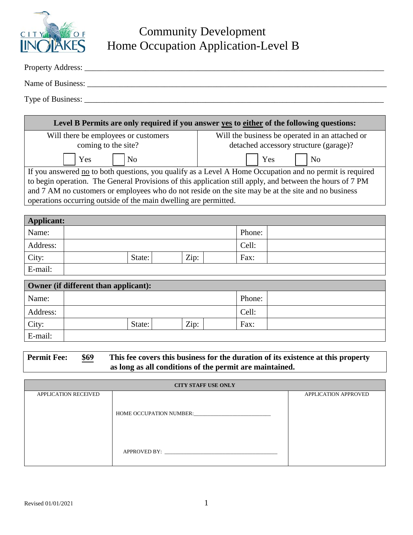

## Community Development Home Occupation Application-Level B

| Property Address: |  |  |
|-------------------|--|--|
| Name of Business: |  |  |
| Type of Business: |  |  |

| Level B Permits are only required if you answer yes to either of the following questions:                 |                                                                                           |  |  |  |
|-----------------------------------------------------------------------------------------------------------|-------------------------------------------------------------------------------------------|--|--|--|
| Will there be employees or customers<br>coming to the site?                                               | Will the business be operated in an attached or<br>detached accessory structure (garage)? |  |  |  |
| Yes<br>N <sub>0</sub>                                                                                     | Yes<br>N <sub>0</sub>                                                                     |  |  |  |
| If you answered no to both questions, you qualify as a Level A Home Occupation and no permit is required  |                                                                                           |  |  |  |
| to begin operation. The General Provisions of this application still apply, and between the hours of 7 PM |                                                                                           |  |  |  |
| and 7 AM no customers or employees who do not reside on the site may be at the site and no business       |                                                                                           |  |  |  |
| operations occurring outside of the main dwelling are permitted.                                          |                                                                                           |  |  |  |

| <b>Applicant:</b> |                |        |  |
|-------------------|----------------|--------|--|
| Name:             |                | Phone: |  |
| Address:          |                | Cell:  |  |
| City:             | Zip:<br>State: | Fax:   |  |
| E-mail:           |                |        |  |

| Owner (if different than applicant): |        |      |  |        |  |
|--------------------------------------|--------|------|--|--------|--|
| Name:                                |        |      |  | Phone: |  |
| Address:                             |        |      |  | Cell:  |  |
| City:                                | State: | Zip: |  | Fax:   |  |
| E-mail:                              |        |      |  |        |  |

| <b>Permit Fee:</b> | <b>\$69</b> | This fee covers this business for the duration of its existence at this property |  |
|--------------------|-------------|----------------------------------------------------------------------------------|--|
|                    |             | as long as all conditions of the permit are maintained.                          |  |

| <b>CITY STAFF USE ONLY</b>  |              |                             |  |  |
|-----------------------------|--------------|-----------------------------|--|--|
| <b>APPLICATION RECEIVED</b> |              | <b>APPLICATION APPROVED</b> |  |  |
|                             | APPROVED BY: |                             |  |  |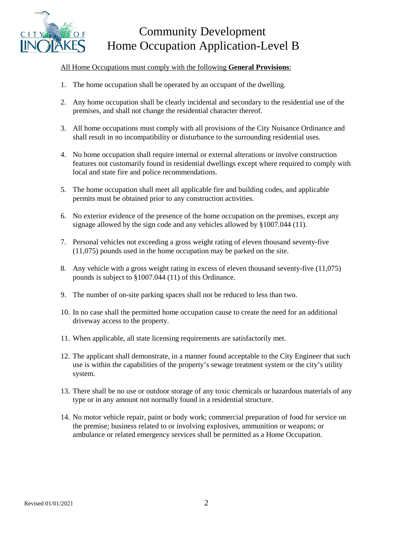

## Community Development Home Occupation Application-Level B

## All Home Occupations must comply with the following **General Provisions**:

- 1. The home occupation shall be operated by an occupant of the dwelling.
- 2. Any home occupation shall be clearly incidental and secondary to the residential use of the premises, and shall not change the residential character thereof.
- 3. All home occupations must comply with all provisions of the City Nuisance Ordinance and shall result in no incompatibility or disturbance to the surrounding residential uses.
- 4. No home occupation shall require internal or external alterations or involve construction features not customarily found in residential dwellings except where required to comply with local and state fire and police recommendations.
- 5. The home occupation shall meet all applicable fire and building codes, and applicable permits must be obtained prior to any construction activities.
- 6. No exterior evidence of the presence of the home occupation on the premises, except any signage allowed by the sign code and any vehicles allowed by §1007.044 (11).
- 7. Personal vehicles not exceeding a gross weight rating of eleven thousand seventy-five (11,075) pounds used in the home occupation may be parked on the site.
- 8. Any vehicle with a gross weight rating in excess of eleven thousand seventy-five (11,075) pounds is subject to §1007.044 (11) of this Ordinance.
- 9. The number of on-site parking spaces shall not be reduced to less than two.
- 10. In no case shall the permitted home occupation cause to create the need for an additional driveway access to the property.
- 11. When applicable, all state licensing requirements are satisfactorily met.
- 12. The applicant shall demonstrate, in a manner found acceptable to the City Engineer that such use is within the capabilities of the property's sewage treatment system or the city's utility system.
- 13. There shall be no use or outdoor storage of any toxic chemicals or hazardous materials of any type or in any amount not normally found in a residential structure.
- 14. No motor vehicle repair, paint or body work; commercial preparation of food for service on the premise; business related to or involving explosives, ammunition or weapons; or ambulance or related emergency services shall be permitted as a Home Occupation.